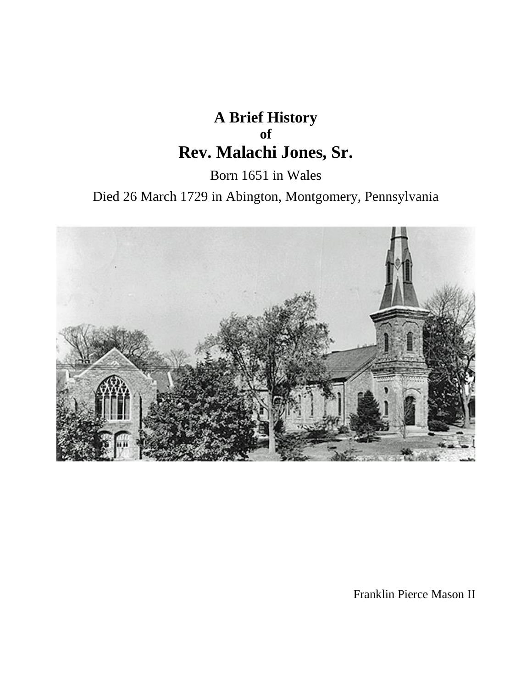## **A Brief History of Rev. Malachi Jones, Sr.**

Born 1651 in Wales

Died 26 March 1729 in Abington, Montgomery, Pennsylvania



Franklin Pierce Mason II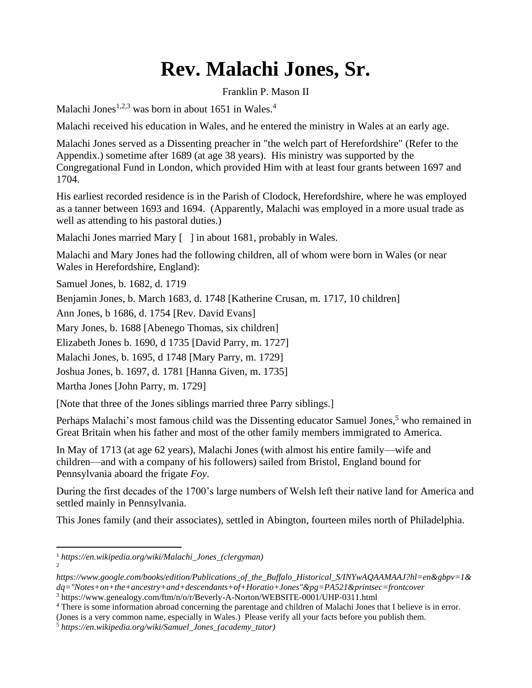## **Rev. Malachi Jones, Sr.**

Franklin P. Mason II

Malachi Jones<sup>1,2,3</sup> was born in about 1651 in Wales.<sup>4</sup>

Malachi received his education in Wales, and he entered the ministry in Wales at an early age.

Malachi Jones served as a [Dissenting](https://en.wikipedia.org/wiki/Dissenter) preacher in "the welch part of Herefordshire" (Refer to the Appendix.) sometime after 1689 (at age 38 years). His ministry was supported by the [Congregational Fund](https://en.wikipedia.org/wiki/Congregational_Board_of_Education) in London, which provided Him with at least four grants between 1697 and 1704.

His earliest recorded residence is in the Parish of [Clodock,](https://en.wikipedia.org/wiki/Clodock) [Herefordshire,](https://en.wikipedia.org/wiki/Herefordshire) where he was employed as a tanner between 1693 and 1694. (Apparently, Malachi was employed in a more usual trade as well as attending to his pastoral duties.)

Malachi Jones married Mary [ ] in about 1681, probably in Wales.

Malachi and Mary Jones had the following children, all of whom were born in Wales (or near Wales in Herefordshire, England):

Samuel Jones, b. 1682, d. 1719

Benjamin Jones, b. March 1683, d. 1748 [Katherine Crusan, m. 1717, 10 children]

Ann Jones, b 1686, d. 1754 [Rev. David Evans]

Mary Jones, b. 1688 [Abenego Thomas, six children]

Elizabeth Jones b. 1690, d 1735 [David Parry, m. 1727]

Malachi Jones, b. 1695, d 1748 [Mary Parry, m. 1729]

Joshua Jones, b. 1697, d. 1781 [Hanna Given, m. 1735]

Martha Jones [John Parry, m. 1729]

[Note that three of the Jones siblings married three Parry siblings.]

Perhaps Malachi's most famous child was the Dissenting educator [Samuel Jones,](https://en.wikipedia.org/wiki/Samuel_Jones_(academy_tutor))<sup>5</sup> who remained in Great Britain when his father and most of the other family members immigrated to America.

In May of 1713 (at age 62 years), Malachi Jones (with almost his entire family—wife and children—and with a company of his followers) sailed from Bristol, England bound for Pennsylvania aboard the frigate *Foy*.

During the first decades of the 1700's large numbers of Welsh left their native land for America and settled mainly in Pennsylvania.

This Jones family (and their associates), settled in Abington, fourteen miles north of Philadelphia.

<sup>3</sup> https://www.genealogy.com/ftm/n/o/r/Beverly-A-Norton/WEBSITE-0001/UHP-0311.html

<sup>1</sup> *https://en.wikipedia.org/wiki/Malachi\_Jones\_(clergyman)* 2

*https://www.google.com/books/edition/Publications\_of\_the\_Buffalo\_Historical\_S/INYwAQAAMAAJ?hl=en&gbpv=1& dq="Notes+on+the+ancestry+and+descendants+of+Horatio+Jones"&pg=PA521&printsec=frontcover*

<sup>&</sup>lt;sup>4</sup> There is some information abroad concerning the parentage and children of Malachi Jones that I believe is in error.

<sup>(</sup>Jones is a very common name, especially in Wales.) Please verify all your facts before you publish them.

<sup>5</sup> *https://en.wikipedia.org/wiki/Samuel\_Jones\_(academy\_tutor)*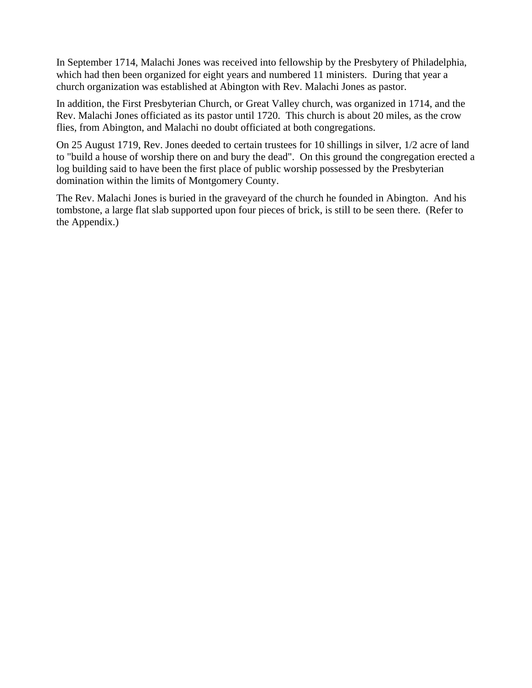In September 1714, Malachi Jones was received into fellowship by the Presbytery of Philadelphia, which had then been organized for eight years and numbered 11 ministers. During that year a church organization was established at Abington with Rev. Malachi Jones as pastor.

In addition, the First Presbyterian Church, or Great Valley church, was organized in 1714, and the Rev. Malachi Jones officiated as its pastor until 1720. This church is about 20 miles, as the crow flies, from Abington, and Malachi no doubt officiated at both congregations.

On 25 August 1719, Rev. Jones deeded to certain trustees for 10 shillings in silver, 1/2 acre of land to "build a house of worship there on and bury the dead". On this ground the congregation erected a log building said to have been the first place of public worship possessed by the Presbyterian domination within the limits of Montgomery County.

The Rev. Malachi Jones is buried in the graveyard of the church he founded in Abington. And his tombstone, a large flat slab supported upon four pieces of brick, is still to be seen there. (Refer to the Appendix.)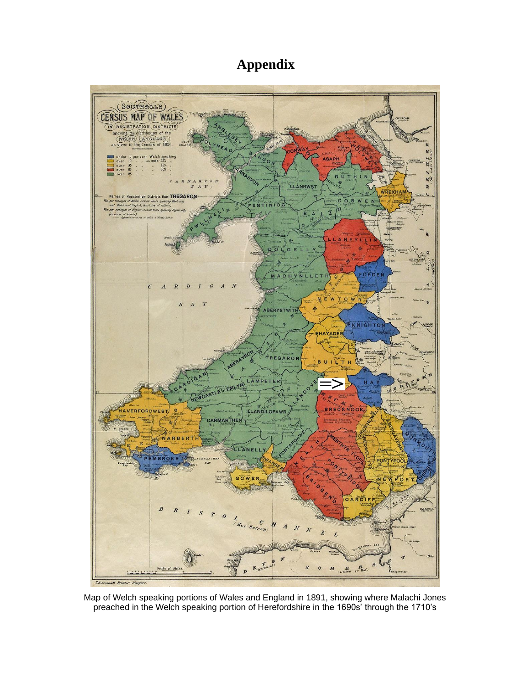## **Appendix**



Map of Welch speaking portions of Wales and England in 1891, showing where Malachi Jones preached in the Welch speaking portion of Herefordshire in the 1690s' through the 1710's